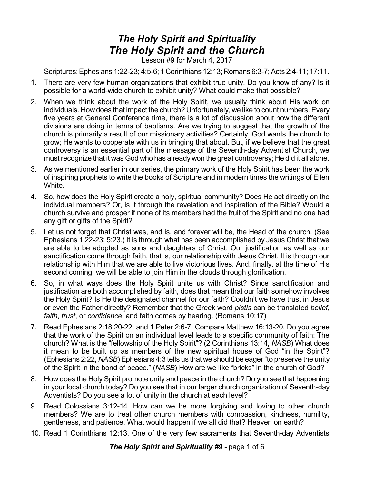## *The Holy Spirit and Spirituality The Holy Spirit and the Church*

Lesson #9 for March 4, 2017

Scriptures:Ephesians 1:22-23; 4:5-6; 1 Corinthians 12:13; Romans 6:3-7;Acts 2:4-11; 17:11.

- 1. There are very few human organizations that exhibit true unity. Do you know of any? Is it possible for a world-wide church to exhibit unity? What could make that possible?
- 2. When we think about the work of the Holy Spirit, we usually think about His work on individuals. How does that impact the church? Unfortunately, we like to count numbers. Every five years at General Conference time, there is a lot of discussion about how the different divisions are doing in terms of baptisms. Are we trying to suggest that the growth of the church is primarily a result of our missionary activities? Certainly, God wants the church to grow; He wants to cooperate with us in bringing that about. But, if we believe that the great controversy is an essential part of the message of the Seventh-day Adventist Church, we must recognize that it was God who has already won the great controversy; He did it all alone.
- 3. As we mentioned earlier in our series, the primary work of the Holy Spirit has been the work of inspiring prophets to write the books of Scripture and in modern times the writings of Ellen White.
- 4. So, how does the Holy Spirit create a holy, spiritual community? Does He act directly on the individual members? Or, is it through the revelation and inspiration of the Bible? Would a church survive and prosper if none of its members had the fruit of the Spirit and no one had any gift or gifts of the Spirit?
- 5. Let us not forget that Christ was, and is, and forever will be, the Head of the church. (See Ephesians 1:22-23; 5:23.) It is through what has been accomplished by Jesus Christ that we are able to be adopted as sons and daughters of Christ. Our justification as well as our sanctification come through faith, that is, our relationship with Jesus Christ. It is through our relationship with Him that we are able to live victorious lives. And, finally, at the time of His second coming, we will be able to join Him in the clouds through glorification.
- 6. So, in what ways does the Holy Spirit unite us with Christ? Since sanctification and justification are both accomplished by faith, does that mean that our faith somehow involves the Holy Spirit? Is He the designated channel for our faith? Couldn't we have trust in Jesus or even the Father directly? Remember that the Greek word *pistis* can be translated *belief*, *faith*, *trust*, or *confidence*; and faith comes by hearing. (Romans 10:17)
- 7. Read Ephesians 2:18,20-22; and 1 Peter 2:6-7. Compare Matthew 16:13-20. Do you agree that the work of the Spirit on an individual level leads to a specific community of faith: The church? What is the "fellowship of the Holy Spirit"? (2 Corinthians 13:14, *NASB*) What does it mean to be built up as members of the new spiritual house of God "in the Spirit"? (Ephesians 2:22, *NASB*) Ephesians 4:3 tells us that we should be eager "to preserve the unity of the Spirit in the bond of peace." (*NASB*) How are we like "bricks" in the church of God?
- 8. How does the Holy Spirit promote unity and peace in the church? Do you see that happening in your local church today? Do you see that in our larger church organization of Seventh-day Adventists? Do you see a lot of unity in the church at each level?
- 9. Read Colossians 3:12-14. How can we be more forgiving and loving to other church members? We are to treat other church members with compassion, kindness, humility, gentleness, and patience. What would happen if we all did that? Heaven on earth?
- 10. Read 1 Corinthians 12:13. One of the very few sacraments that Seventh-day Adventists

*The Holy Spirit and Spirituality #9 -* page 1 of 6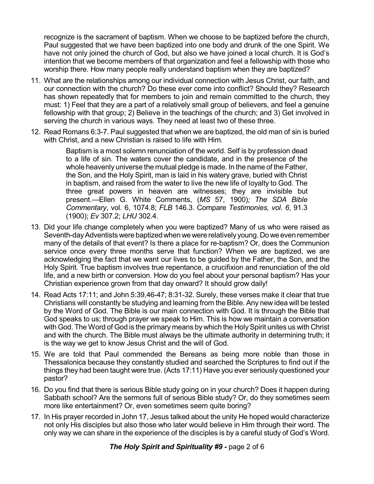recognize is the sacrament of baptism. When we choose to be baptized before the church, Paul suggested that we have been baptized into one body and drunk of the one Spirit. We have not only joined the church of God, but also we have joined a local church. It is God's intention that we become members of that organization and feel a fellowship with those who worship there. How many people really understand baptism when they are baptized?

- 11. What are the relationships among our individual connection with Jesus Christ, our faith, and our connection with the church? Do these ever come into conflict? Should they? Research has shown repeatedly that for members to join and remain committed to the church, they must: 1) Feel that they are a part of a relatively small group of believers, and feel a genuine fellowship with that group; 2) Believe in the teachings of the church; and 3) Get involved in serving the church in various ways. They need at least two of these three.
- 12. Read Romans 6:3-7. Paul suggested that when we are baptized, the old man of sin is buried with Christ, and a new Christian is raised to life with Him.

Baptism is a most solemn renunciation of the world. Self is by profession dead to a life of sin. The waters cover the candidate, and in the presence of the whole heavenly universe the mutual pledge is made. In the name of the Father, the Son, and the Holy Spirit, man is laid in his watery grave, buried with Christ in baptism, and raised from the water to live the new life of loyalty to God. The three great powers in heaven are witnesses; they are invisible but present.—Ellen G. White Comments, (*MS* 57, 1900)*; The SDA Bible Commentary*, vol. 6, 1074.8; *FLB* 146.3. Compare *Testimonies, vol. 6*, 91.3 (1900); *Ev* 307.2; *LHU* 302.4.

- 13. Did your life change completely when you were baptized? Many of us who were raised as Seventh-day Adventists were baptized when we were relatively young. Do we even remember many of the details of that event? Is there a place for re-baptism? Or, does the Communion service once every three months serve that function? When we are baptized, we are acknowledging the fact that we want our lives to be guided by the Father, the Son, and the Holy Spirit. True baptism involves true repentance, a crucifixion and renunciation of the old life, and a new birth or conversion. How do you feel about your personal baptism? Has your Christian experience grown from that day onward? It should grow daily!
- 14. Read Acts 17:11; and John 5:39,46-47; 8:31-32. Surely, these verses make it clear that true Christians will constantly be studying and learning from the Bible. Any new idea will be tested by the Word of God. The Bible is our main connection with God. It is through the Bible that God speaks to us; through prayer we speak to Him. This is how we maintain a conversation with God. The Word of God is the primary means by which the HolySpirit unites us with Christ and with the church. The Bible must always be the ultimate authority in determining truth; it is the way we get to know Jesus Christ and the will of God.
- 15. We are told that Paul commended the Bereans as being more noble than those in Thessalonica because they constantly studied and searched the Scriptures to find out if the things they had been taught were true. (Acts 17:11) Have you ever seriously questioned your pastor?
- 16. Do you find that there is serious Bible study going on in your church? Does it happen during Sabbath school? Are the sermons full of serious Bible study? Or, do they sometimes seem more like entertainment? Or, even sometimes seem quite boring?
- 17. In His prayer recorded in John 17, Jesus talked about the unity He hoped would characterize not only His disciples but also those who later would believe in Him through their word. The only way we can share in the experience of the disciples is by a careful study of God's Word.

*The Holy Spirit and Spirituality #9 -* page 2 of 6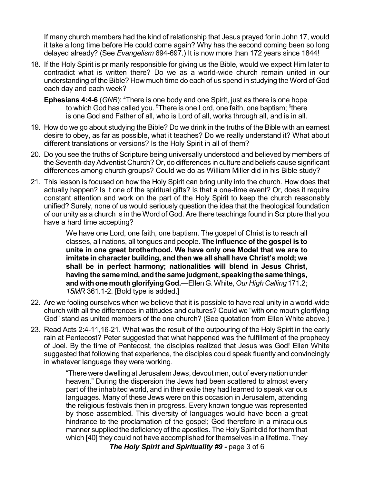If many church members had the kind of relationship that Jesus prayed for in John 17, would it take a long time before He could come again? Why has the second coming been so long delayed already? (See *Evangelism* 694-697.) It is now more than 172 years since 1844!

- 18. If the Holy Spirit is primarily responsible for giving us the Bible, would we expect Him later to contradict what is written there? Do we as a world-wide church remain united in our understanding of the Bible? How much time do each of us spend in studying the Word of God each day and each week?
	- **Ephesians 4:4-6** (GNB): <sup>4</sup>There is one body and one Spirit, just as there is one hope to which God has called you. <sup>5</sup>There is one Lord, one faith, one baptism; <sup>6</sup>there is one God and Father of all, who is Lord of all, works through all, and is in all.
- 19. How do we go about studying the Bible? Do we drink in the truths of the Bible with an earnest desire to obey, as far as possible, what it teaches? Do we really understand it? What about different translations or versions? Is the Holy Spirit in all of them?
- 20. Do you see the truths of Scripture being universally understood and believed by members of the Seventh-dayAdventist Church? Or, do differences in culture and beliefs cause significant differences among church groups? Could we do as William Miller did in his Bible study?
- 21. This lesson is focused on how the Holy Spirit can bring unity into the church. How does that actually happen? Is it one of the spiritual gifts? Is that a one-time event? Or, does it require constant attention and work on the part of the Holy Spirit to keep the church reasonably unified? Surely, none of us would seriously question the idea that the theological foundation of our unity as a church is in the Word of God. Are there teachings found in Scripture that you have a hard time accepting?

We have one Lord, one faith, one baptism. The gospel of Christ is to reach all classes, all nations, all tongues and people. **The influence of the gospel is to unite in one great brotherhood. We have only one Model that we are to imitate in character building, and then we all shall have Christ's mold; we shall be in perfect harmony; nationalities will blend in Jesus Christ, havingthe same mind, andthe samejudgment, speakingthe same things, andwithonemouthglorifyingGod.**—EllenG.White, *Our High Calling* 171.2; *15MR* 361.1-2. [Bold type is added.]

- 22. Are we fooling ourselves when we believe that it is possible to have real unity in a world-wide church with all the differences in attitudes and cultures? Could we "with one mouth glorifying God" stand as united members of the one church? (See quotation from Ellen White above.)
- 23. Read Acts 2:4-11,16-21. What was the result of the outpouring of the Holy Spirit in the early rain at Pentecost? Peter suggested that what happened was the fulfillment of the prophecy of Joel. By the time of Pentecost, the disciples realized that Jesus was God! Ellen White suggested that following that experience, the disciples could speak fluently and convincingly in whatever language they were working.

"There were dwelling at Jerusalem Jews, devout men, out of every nation under heaven." During the dispersion the Jews had been scattered to almost every part of the inhabited world, and in their exile they had learned to speak various languages. Many of these Jews were on this occasion in Jerusalem, attending the religious festivals then in progress. Every known tongue was represented by those assembled. This diversity of languages would have been a great hindrance to the proclamation of the gospel; God therefore in a miraculous manner supplied the deficiency of the apostles. The Holy Spirit did for them that which [40] they could not have accomplished for themselves in a lifetime. They

*The Holy Spirit and Spirituality #9 -* page 3 of 6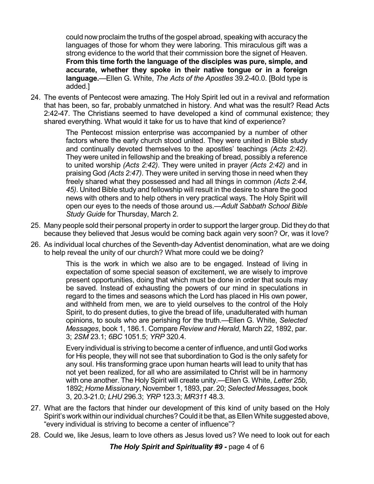could nowproclaim the truths of the gospel abroad, speaking with accuracy the languages of those for whom they were laboring. This miraculous gift was a strong evidence to the world that their commission bore the signet of Heaven. **From this time forth the language of the disciples was pure, simple, and accurate, whether they spoke in their native tongue or in a foreign language.**—Ellen G. White, *The Acts of the Apostles* 39.2-40.0. [Bold type is added.]

24. The events of Pentecost were amazing. The Holy Spirit led out in a revival and reformation that has been, so far, probably unmatched in history. And what was the result? Read Acts 2:42-47. The Christians seemed to have developed a kind of communal existence; they shared everything. What would it take for us to have that kind of experience?

> The Pentecost mission enterprise was accompanied by a number of other factors where the early church stood united. They were united in Bible study and continually devoted themselves to the apostles' teachings *(Acts 2:42)*. They were united in fellowship and the breaking of bread, possibly a reference to united worship *(Acts 2:42)*. They were united in prayer *(Acts 2:42)* and in praising God *(Acts 2:47)*. They were united in serving those in need when they freely shared what they possessed and had all things in common *(Acts 2:44, 45)*. United Bible study and fellowship will result in the desire to share the good news with others and to help others in very practical ways. The Holy Spirit will open our eyes to the needs of those around us.—*Adult Sabbath School Bible Study Guide* for Thursday, March 2.

- 25. Many people sold their personal property in order to support the larger group. Did they do that because they believed that Jesus would be coming back again very soon? Or, was it love?
- 26. As individual local churches of the Seventh-day Adventist denomination, what are we doing to help reveal the unity of our church? What more could we be doing?

This is the work in which we also are to be engaged. Instead of living in expectation of some special season of excitement, we are wisely to improve present opportunities, doing that which must be done in order that souls may be saved. Instead of exhausting the powers of our mind in speculations in regard to the times and seasons which the Lord has placed in His own power, and withheld from men, we are to yield ourselves to the control of the Holy Spirit, to do present duties, to give the bread of life, unadulterated with human opinions, to souls who are perishing for the truth.—Ellen G. White, *Selected Messages*, book 1, 186.1. Compare *Review and Herald*, March 22, 1892, par. 3; *2SM* 23.1; *6BC* 1051.5; *YRP* 320.4.

Every individual is striving to become a center of influence, and until God works for His people, they will not see that subordination to God is the only safety for any soul. His transforming grace upon human hearts will lead to unity that has not yet been realized, for all who are assimilated to Christ will be in harmony with one another. The Holy Spirit will create unity.—Ellen G. White, *Letter 25b*, 1892; *Home Missionary*, November 1, 1893, par. 20;*Selected Messages*, book 3, 20.3-21.0; *LHU* 296.3; *YRP* 123.3; *MR311* 48.3.

- 27. What are the factors that hinder our development of this kind of unity based on the Holy Spirit's work within our individual churches? Could it be that, asEllenWhite suggested above, "every individual is striving to become a center of influence"?
- 28. Could we, like Jesus, learn to love others as Jesus loved us? We need to look out for each

*The Holy Spirit and Spirituality #9 -* page 4 of 6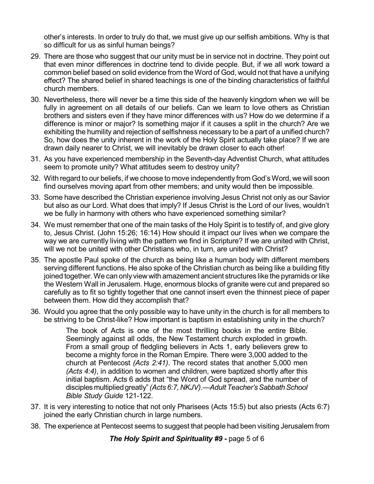other's interests. In order to truly do that, we must give up our selfish ambitions. Why is that so difficult for us as sinful human beings?

- 29. There are those who suggest that our unity must be in service not in doctrine. They point out that even minor differences in doctrine tend to divide people. But, if we all work toward a common belief based on solid evidence from the Word of God, would not that have a unifying effect? The shared belief in shared teachings is one of the binding characteristics of faithful church members.
- 30. Nevertheless, there will never be a time this side of the heavenly kingdom when we will be fully in agreement on all details of our beliefs. Can we learn to love others as Christian brothers and sisters even if they have minor differences with us? How do we determine if a difference is minor or major? Is something major if it causes a split in the church? Are we exhibiting the humility and rejection of selfishness necessary to be a part of a unified church? So, how does the unity inherent in the work of the Holy Spirit actually take place? If we are drawn daily nearer to Christ, we will inevitably be drawn closer to each other!
- 31. As you have experienced membership in the Seventh-day Adventist Church, what attitudes seem to promote unity? What attitudes seem to destroy unity?
- 32. With regard to our beliefs, if we choose to move independently from God's Word, we will soon find ourselves moving apart from other members; and unity would then be impossible.
- 33. Some have described the Christian experience involving Jesus Christ not only as our Savior but also as our Lord. What does that imply? If Jesus Christ is the Lord of our lives, wouldn't we be fully in harmony with others who have experienced something similar?
- 34. We must remember that one of the main tasks of the Holy Spirit is to testify of, and give glory to, Jesus Christ. (John 15:26; 16:14) How should it impact our lives when we compare the way we are currently living with the pattern we find in Scripture? If we are united with Christ, will we not be united with other Christians who, in turn, are united with Christ?
- 35. The apostle Paul spoke of the church as being like a human body with different members serving different functions. He also spoke of the Christian church as being like a building fitly joined together. We can only viewwith amazement ancient structures like the pyramids or like the Western Wall in Jerusalem. Huge, enormous blocks of granite were cut and prepared so carefully as to fit so tightly together that one cannot insert even the thinnest piece of paper between them. How did they accomplish that?
- 36. Would you agree that the only possible way to have unity in the church is for all members to be striving to be Christ-like? How important is baptism in establishing unity in the church?

The book of Acts is one of the most thrilling books in the entire Bible. Seemingly against all odds, the New Testament church exploded in growth. From a small group of fledgling believers in Acts 1, early believers grew to become a mighty force in the Roman Empire. There were 3,000 added to the church at Pentecost *(Acts 2:41)*. The record states that another 5,000 men *(Acts 4:4)*, in addition to women and children, were baptized shortly after this initial baptism. Acts 6 adds that "the Word of God spread, and the number of disciples multiplied greatly" (Acts 6:7, NKJV).—Adult Teacher's Sabbath School *Bible Study Guide* 121-122.

- 37. It is very interesting to notice that not only Pharisees (Acts 15:5) but also priests (Acts 6:7) joined the early Christian church in large numbers.
- 38. The experience at Pentecost seems to suggest that people had been visiting Jerusalem from

*The Holy Spirit and Spirituality #9 -* page 5 of 6